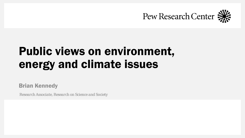

# Public views on environment, energy and climate issues

Brian Kennedy

*Research Associate, Research on Science and Society*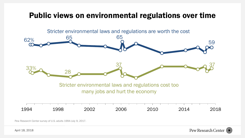#### Public views on environmental regulations over time



Pew Research Center survey of U.S. adults 1994-July 9, 2017.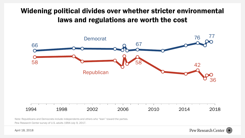#### Widening political divides over whether stricter environmental laws and regulations are worth the cost



Note: Republicans and Democrats include independents and others who "lean" toward the parties. Pew Research Center survey of U.S. adults 1994-July 9, 2017.



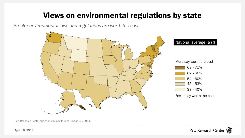#### Views on environmental regulations by state

*Stricter environmental laws and regulations are worth the cost*





April 18, 2018

Pew Research Center survey of U.S. adults June 4-Sept. 30, 2014.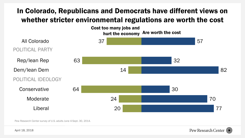#### In Colorado, Republicans and Democrats have different views on whether stricter environmental regulations are worth the cost



Pew Research Center survey of U.S. adults June 4-Sept. 30, 2014.



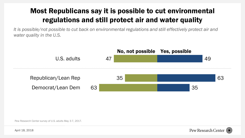## Most Republicans say it is possible to cut environmental regulations and still protect air and water quality

*It is possible/not possible to cut back on environmental regulations and still effectively protect air and water quality in the U.S.*



Pew Research Center survey of U.S. adults May 3-7, 2017.

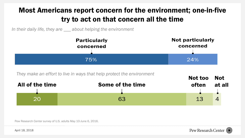## Most Americans report concern for the environment; one-in-five try to act on that concern all the time

*In their daily life, they are \_\_\_ about helping the environment*



*They make an effort to live in ways that help protect the environment*



Pew Research Center survey of U.S. adults May 10-June 6, 2016.

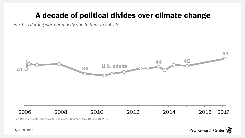## A decade of political divides over climate change

*Earth is getting warmer mostly due to human activity*



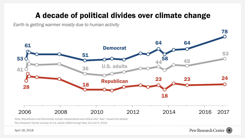## A decade of political divides over climate change

*Earth is getting warmer mostly due to human activity*



Note: Republicans and Democrats include independents and others who "lean" toward the parties.

Pew Research Center surveys of U.S. adults 2006 through May 10-June 6, 2016.

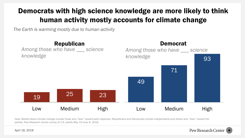## Democrats with high science knowledge are more likely to think human activity mostly accounts for climate change

*The Earth is warming mostly due to human activity*



Note: Beliefs about climate change include those who "lean" toward each response. Republicans and Democrats include independents and others who "lean" toward the parties. Pew Research Center survey of U.S. adults May 10-June 6, 2016.



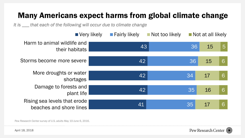## Many Americans expect harms from global climate change

*It is \_\_\_ that each of the following will occur due to climate change*

| $\blacksquare$ Very likely                              | $\blacksquare$ Fairly likely | $\blacksquare$ Not too likely | $\blacksquare$ Not at all likely |   |
|---------------------------------------------------------|------------------------------|-------------------------------|----------------------------------|---|
| Harm to animal wildlife and<br>their habitats           | 43                           |                               | 36<br>15                         | 5 |
| Storms become more severe                               | 42                           | 36                            | 15                               | 6 |
| More droughts or water<br>shortages                     | 42                           | 34                            | 17                               | 6 |
| Damage to forests and<br>plant life                     | 42                           | 35                            | 16                               | 6 |
| Rising sea levels that erode<br>beaches and shore lines | 41                           | 35                            | 17                               | 6 |

Pew Research Center survey of U.S. adults May 10-June 6, 2016.

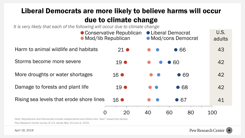## Liberal Democrats are more likely to believe harms will occur due to climate change

*It is very likely that each of the following will occur due to climate change*

|                                                                                                | • Conservative Republican<br>• Mod/lib Republican | • Liberal Democrat<br>• Mod/cons Democrat | U.S.<br>adults |
|------------------------------------------------------------------------------------------------|---------------------------------------------------|-------------------------------------------|----------------|
| Harm to animal wildlife and habitats                                                           | $21 \bullet$                                      | $\bullet$ 66                              | 43             |
| Storms become more severe                                                                      | 19 $\bullet$                                      | 60                                        | 42             |
| More droughts or water shortages                                                               | $16$ $\bullet$                                    | $\bullet$ 69                              | 42             |
| Damage to forests and plant life                                                               | 19 $\bullet$                                      | •68                                       | 42             |
| Rising sea levels that erode shore lines                                                       | $16$ $\bullet$                                    | • 67                                      | 41             |
| Note: Republicans and Democrats include independents and others who "lean" toward the parties. | 20<br>0                                           | 40<br>60<br>80                            | 100            |

Pew Research Center survey of U.S. adults May 10-June 6, 2016.

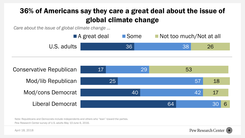## 36% of Americans say they care a great deal about the issue of global climate change

*Care about the issue of global climate change …*



Note: Republicans and Democrats include independents and others who "lean" toward the parties.

Pew Research Center survey of U.S. adults May 10-June 6, 2016.

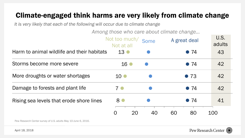#### Climate-engaged think harms are very likely from climate change

*It is very likely that each of the following will occur due to climate change*

*Among those who care about climate change...*

| Harm to animal wildlife and their habitats | Not too much/ Some<br>Not at all<br>$13$ $\bullet$ | A great deal<br>● 74 | U.S.<br>adults<br>43 |
|--------------------------------------------|----------------------------------------------------|----------------------|----------------------|
| Storms become more severe                  | $16$ $\bullet$                                     | $\bullet$ 74         | 42                   |
| More droughts or water shortages           | $10$ $\bullet$                                     | $\bullet$ 73         | 42                   |
| Damage to forests and plant life           |                                                    | $\bullet$ 74         | 42                   |
| Rising sea levels that erode shore lines   | 8 C                                                | 74                   |                      |
|                                            |                                                    |                      |                      |

Pew Research Center survey of U.S. adults May 10-June 6, 2016.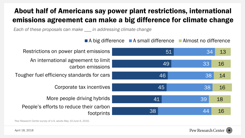## About half of Americans say power plant restrictions, international emissions agreement can make a big difference for climate change

*Each of these proposals can make \_\_\_ in addressing climate change*

|                                                         | <b>A DIRECTLE A STIGHT CITE CITE A RITIOSITIO GILLETERICE</b> |          |
|---------------------------------------------------------|---------------------------------------------------------------|----------|
| Restrictions on power plant emissions                   | 51                                                            | 13<br>34 |
| An international agreement to limit<br>carbon emissions | 49                                                            | 33<br>16 |
| Tougher fuel efficiency standards for cars              | 46                                                            | 38<br>14 |
| Corporate tax incentives                                | 45                                                            | 16<br>38 |
| More people driving hybrids                             | 41                                                            | 18<br>39 |
| People's efforts to reduce their carbon<br>footprints   | 38                                                            | 44<br>16 |

 $\blacksquare$  A big difference  $\blacksquare$  A small difference  $\blacksquare$  Almost no difference

Pew Research Center survey of U.S. adults May 10-June 6, 2016.

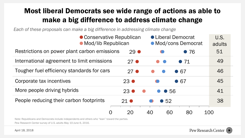#### Most liberal Democrats see wide range of actions as able to make a big difference to address climate change

*Each of these proposals can make a big difference in addressing climate change*

| • Conservative Republican<br>• Mod/lib Republican |                | • Liberal Democrat<br>• Mod/cons Democrat | U.S.<br>adults |    |
|---------------------------------------------------|----------------|-------------------------------------------|----------------|----|
| Restrictions on power plant carbon emissions      | $29$ $\bullet$ |                                           | -76            | 51 |
| International agreement to limit emissions        | $27$ $\bullet$ |                                           | $\bullet$ 71   | 49 |
| Tougher fuel efficiency standards for cars        | $27$ $\bullet$ |                                           | 67             | 46 |
| Corporate tax incentives                          | $23$ $\bullet$ |                                           | $\bullet$ 67   | 45 |
| More people driving hybrids                       | $23$ $\bullet$ | $\bullet$ 56                              |                |    |
| People reducing their carbon footprints           | $21$ $\bullet$ | $\bullet$ 52                              |                | 38 |
|                                                   |                |                                           |                |    |

Pew Research Center **※** 

Note: Republicans and Democrats include independents and others who "lean" toward the parties. Pew Research Center survey of U.S. adults May 10-June 6, 2016.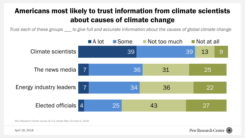## Americans most likely to trust information from climate scientists about causes of climate change

*Trust each of these groups \_\_\_ to give full and accurate information about the causes of global climate change*



Pew Research Center survey of U.S. adults May 10-June 6, 2016.

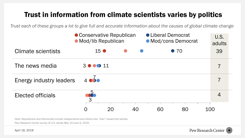#### Trust in information from climate scientists varies by politics

*Trust each of these groups a lot to give full and accurate information about the causes of global climate change*



Note: Republicans and Democrats include independents and others who "lean" toward the parties. Pew Research Center survey of U.S. adults May 10-June 6, 2016.

April 18, 2018

Pew Research Center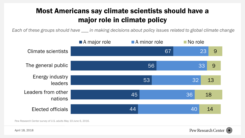## Most Americans say climate scientists should have a major role in climate policy

*Each of these groups should have \_\_\_ in making decisions about policy issues related to global climate change*

|                               | A major role | A minor role | No role  |
|-------------------------------|--------------|--------------|----------|
| <b>Climate scientists</b>     |              | 67           | 23<br>9  |
| The general public            |              | 56           | 33<br>9  |
| Energy industry<br>leaders    |              | 53           | 13<br>32 |
| Leaders from other<br>nations |              | 45           | 36<br>18 |
| <b>Elected officials</b>      |              | 44           | 14<br>40 |

Pew Research Center survey of U.S. adults May 10-June 6, 2016.

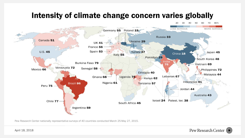#### Intensity of climate change concern varies globally



Pew Research Center nationally representative surveys of 40 countries conducted March 25-May 27, 2015.

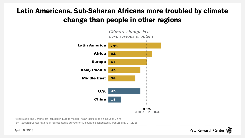#### Latin Americans, Sub-Saharan Africans more troubled by climate change than people in other regions



Note: Russia and Ukraine not included in Europe median. Asia/Pacific median includes China.

Pew Research Center nationally representative surveys of 40 countries conducted March 25-May 27, 2015.



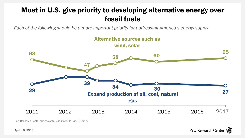## Most in U.S. give priority to developing alternative energy over fossil fuels

*Each of the following should be a more important priority for addressing America's energy supply*



Pew Research Center surveys of U.S. adults 2011-Jan. 9, 2017.

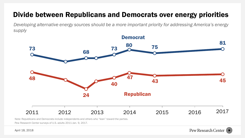#### Divide between Republicans and Democrats over energy priorities

*Developing alternative energy sources should be a more important priority for addressing America's energy supply*



Note: Republicans and Democrats include independents and others who "lean" toward the parties. Pew Research Center surveys of U.S. adults 2011-Jan. 9, 2017.

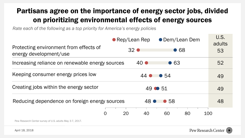## Partisans agree on the importance of energy sector jobs, divided on prioritizing environmental effects of energy sources

*Rate each of the following as a top priority for America's energy policies*

|                                                                  |              | ● Rep/Lean Rep ● Dem/Lean Dem | U.S.<br>adults |
|------------------------------------------------------------------|--------------|-------------------------------|----------------|
| Protecting environment from effects of<br>energy development/use | $32 \bullet$ | $\bullet$ 68                  | 53             |
| Increasing reliance on renewable energy sources                  | 40.          | $\bullet$ 63                  | 52             |
| Keeping consumer energy prices low                               |              | $44 \bullet 54$               | 49             |
| Creating jobs within the energy sector                           |              | $49 \bullet 51$               | 49             |
| Reducing dependence on foreign energy sources                    | 48 ●         | .58                           | 48             |
|                                                                  | 20           | 60                            |                |

Pew Research Center survey of U.S. adults May 3-7, 2017.

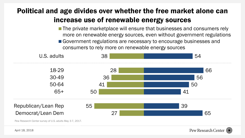#### Political and age divides over whether the free market alone can increase use of renewable energy sources

- **The private marketplace will ensure that businesses and consumers rely** more on renewable energy sources, even without government regulations
- Government regulations are necessary to encourage businesses and consumers to rely more on renewable energy sources

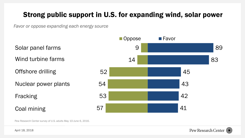## Strong public support in U.S. for expanding wind, solar power

*Favor or oppose expanding each energy source*

Solar panel farms Wind turbine farms Offshore drilling Nuclear power plants Fracking Coal mining



Pew Research Center survey of U.S. adults May 10-June 6, 2016.

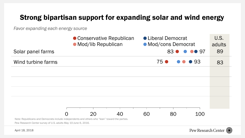#### Strong bipartisan support for expanding solar and wind energy

*Favor expanding each energy source*

| Solar panel farms                                                                                                                                                | ● Conservative Republican<br>• Mod/lib Republican |  |    | • Liberal Democrat<br>• Mod/cons Democrat<br>83 97 |                              |    |  |
|------------------------------------------------------------------------------------------------------------------------------------------------------------------|---------------------------------------------------|--|----|----------------------------------------------------|------------------------------|----|--|
| Wind turbine farms                                                                                                                                               |                                                   |  |    | 75 ●                                               | $\bullet \bullet \bullet 93$ | 83 |  |
|                                                                                                                                                                  |                                                   |  |    |                                                    |                              |    |  |
|                                                                                                                                                                  |                                                   |  |    |                                                    |                              |    |  |
|                                                                                                                                                                  |                                                   |  |    |                                                    |                              |    |  |
| Note: Republicans and Democrats include independents and others who "lean" toward the parties.<br>Pew Research Center survey of U.S. adults May 10-June 6, 2016. | 20                                                |  | 60 | 80                                                 | 100                          |    |  |

Pew Research Center **※**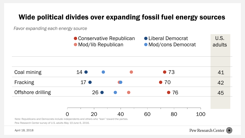#### Wide political divides over expanding fossil fuel energy sources

*Favor expanding each energy source*

|                                                                                                                                                                  |                | • Mod/lib Republican | ● Conservative Republican | • Liberal Democrat<br>• Mod/cons Democrat |              |     | U.S.<br>adults |  |
|------------------------------------------------------------------------------------------------------------------------------------------------------------------|----------------|----------------------|---------------------------|-------------------------------------------|--------------|-----|----------------|--|
| Coal mining                                                                                                                                                      | $14$ $\bullet$ |                      |                           |                                           | $\bullet$ 73 |     | 41             |  |
| Fracking                                                                                                                                                         |                | 17 ●                 |                           | $\bullet$ 70                              |              |     | 42             |  |
| Offshore drilling                                                                                                                                                |                | $26 \bullet$         |                           |                                           | $\bullet$ 76 |     | 45             |  |
| Note: Republicans and Democrats include independents and others who "lean" toward the parties.<br>Pew Research Center survey of U.S. adults May 10-June 6, 2016. |                | 20                   | 40                        | 60                                        | 80           | 100 |                |  |

Pew Research Center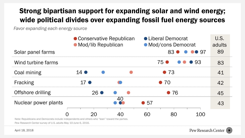## Strong bipartisan support for expanding solar and wind energy; wide political divides over expanding fossil fuel energy sources

*Favor expanding each energy source*

|                                                                                                                                                                  | ● Conservative Republican<br>• Mod/lib Republican |    |              | • Liberal Democrat<br>• Mod/cons Democrat |                        |    |  |
|------------------------------------------------------------------------------------------------------------------------------------------------------------------|---------------------------------------------------|----|--------------|-------------------------------------------|------------------------|----|--|
| Solar panel farms                                                                                                                                                |                                                   |    |              |                                           | 83 0 0 0 97            | 89 |  |
| Wind turbine farms                                                                                                                                               |                                                   |    |              | 75 ●                                      | $\bullet$ $\bullet$ 93 | 83 |  |
| Coal mining                                                                                                                                                      | $14$ $\bullet$                                    |    |              | $\bullet$ 73                              |                        |    |  |
| Fracking                                                                                                                                                         | $17$ $\bullet$                                    |    | $\bullet$ 70 |                                           |                        | 42 |  |
| Offshore drilling                                                                                                                                                | $26 \bullet$                                      |    |              | $\bullet$ 76                              |                        | 45 |  |
| Nuclear power plants                                                                                                                                             |                                                   | 40 | $\bullet$ 57 |                                           |                        | 43 |  |
| Note: Republicans and Democrats include independents and others who "lean" toward the parties.<br>Pew Research Center survey of U.S. adults May 10-June 6, 2016. | 20                                                |    | 60           | 80                                        | 100                    |    |  |

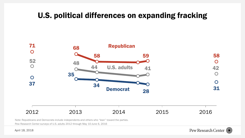## U.S. political differences on expanding fracking



Pew Research Center

Note: Republicans and Democrats include independents and others who "lean" toward the parties.

Pew Research Center surveys of U.S. adults 2012 through May 10-June 6, 2016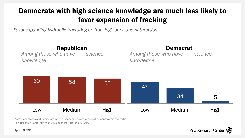## Democrats with high science knowledge are much less likely to favor expansion of fracking

*Favor expanding hydraulic fracturing or 'fracking' for oil and natural gas*





Pew Research Center **※** 

Note: Republicans and Democrats include independents and others who "lean" toward the parties. Pew Research Center survey of U.S. adults May 10-June 6, 2016.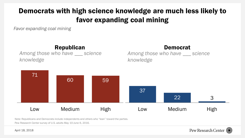## Democrats with high science knowledge are much less likely to favor expanding coal mining

*Favor expanding coal mining*





Pew Research Center **※** 

Note: Republicans and Democrats include independents and others who "lean" toward the parties. Pew Research Center survey of U.S. adults May 10-June 6, 2016.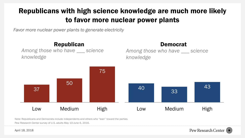## Republicans with high science knowledge are much more likely to favor more nuclear power plants

*Favor more nuclear power plants to generate electricity*



Note: Republicans and Democrats include independents and others who "lean" toward the parties. Pew Research Center survey of U.S. adults May 10-June 6, 2016.